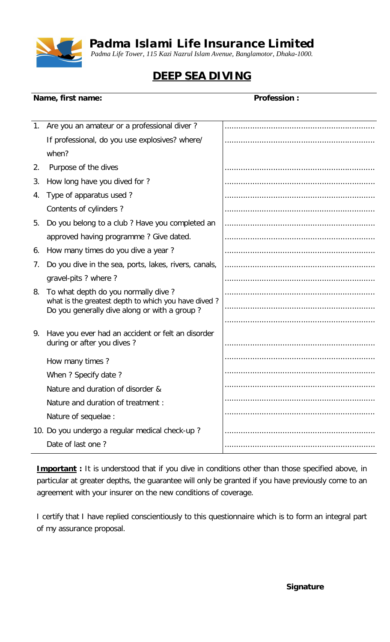

*Padma Islami Life Insurance Limited*

*Padma Life Tower, 115 Kazi Nazrul Islam Avenue, Banglamotor, Dhaka-1000.*

## **DEEP SEA DIVING**

## **Name, first name: Name, first name: Profession : Profession :**

| 1. | Are you an amateur or a professional diver?                                                |  |
|----|--------------------------------------------------------------------------------------------|--|
|    | If professional, do you use explosives? where/                                             |  |
|    | when?                                                                                      |  |
| 2. | Purpose of the dives                                                                       |  |
| 3. | How long have you dived for ?                                                              |  |
| 4. | Type of apparatus used?                                                                    |  |
|    | Contents of cylinders?                                                                     |  |
| 5. | Do you belong to a club? Have you completed an                                             |  |
|    | approved having programme? Give dated.                                                     |  |
| 6. | How many times do you dive a year?                                                         |  |
| 7. | Do you dive in the sea, ports, lakes, rivers, canals,                                      |  |
|    | gravel-pits ? where ?                                                                      |  |
| 8. | To what depth do you normally dive?<br>what is the greatest depth to which you have dived? |  |
|    | Do you generally dive along or with a group?                                               |  |
| 9. |                                                                                            |  |
|    | Have you ever had an accident or felt an disorder<br>during or after you dives?            |  |
|    | How many times?                                                                            |  |
|    | When ? Specify date ?                                                                      |  |
|    | Nature and duration of disorder &                                                          |  |
|    | Nature and duration of treatment :                                                         |  |
|    | Nature of sequelae :                                                                       |  |
|    | 10. Do you undergo a regular medical check-up?                                             |  |
|    | Date of last one?                                                                          |  |
|    |                                                                                            |  |

**Important** : It is understood that if you dive in conditions other than those specified above, in particular at greater depths, the guarantee will only be granted if you have previously come to an agreement with your insurer on the new conditions of coverage.

I certify that I have replied conscientiously to this questionnaire which is to form an integral part of my assurance proposal.